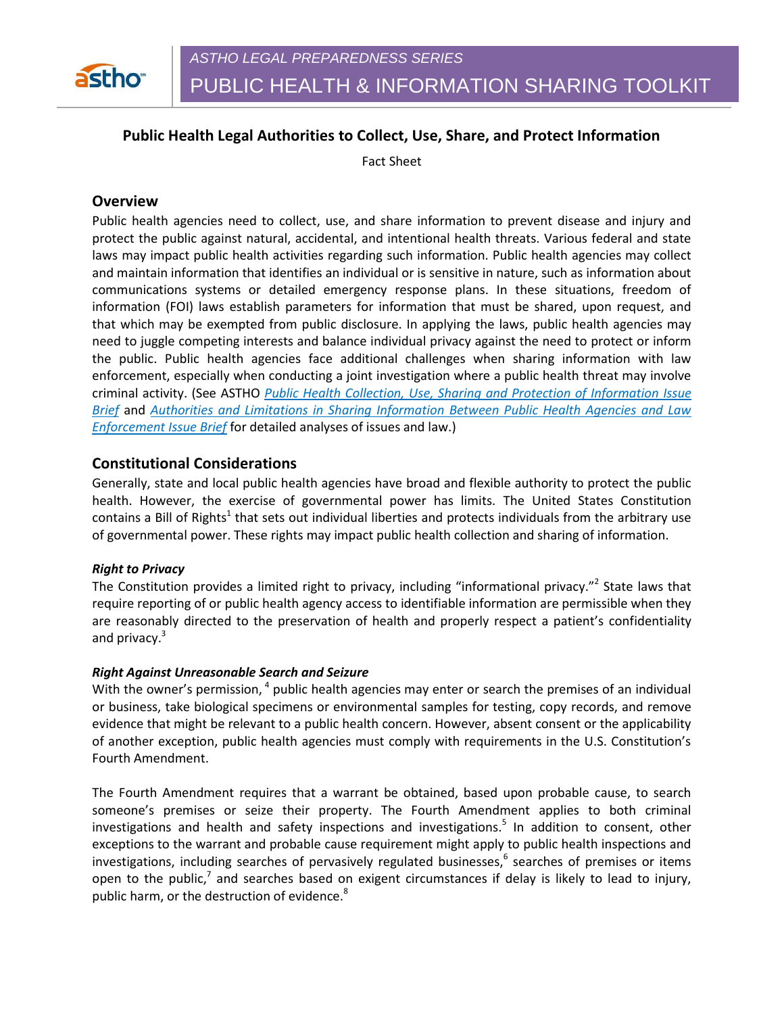

# **Public Health Legal Authorities to Collect, Use, Share, and Protect Information**

Fact Sheet

# **Overview**

Public health agencies need to collect, use, and share information to prevent disease and injury and protect the public against natural, accidental, and intentional health threats. Various federal and state laws may impact public health activities regarding such information. Public health agencies may collect and maintain information that identifies an individual or is sensitive in nature, such as information about communications systems or detailed emergency response plans. In these situations, freedom of information (FOI) laws establish parameters for information that must be shared, upon request, and that which may be exempted from public disclosure. In applying the laws, public health agencies may need to juggle competing interests and balance individual privacy against the need to protect or inform the public. Public health agencies face additional challenges when sharing information with law enforcement, especially when conducting a joint investigation where a public health threat may involve criminal activity. (See ASTHO *Public Health Collection, Use, Sharing and Protection of Information Issue Brief* and *Authorities and Limitations in Sharing Information Between Public Health Agencies and Law Enforcement Issue Brief* for detailed analyses of issues and law.)

## **Constitutional Considerations**

Generally, state and local public health agencies have broad and flexible authority to protect the public health. However, the exercise of governmental power has limits. The United States Constitution contains a Bill of Rights<sup>1</sup> that sets out individual liberties and protects individuals from the arbitrary use of governmental power. These rights may impact public health collection and sharing of information.

### *Right to Privacy*

The Constitution provides a limited right to privacy, including "informational privacy."<sup>2</sup> State laws that require reporting of or public health agency access to identifiable information are permissible when they are reasonably directed to the preservation of health and properly respect a patient's confidentiality and privacy.<sup>3</sup>

#### *Right Against Unreasonable Search and Seizure*

With the owner's permission, <sup>4</sup> public health agencies may enter or search the premises of an individual or business, take biological specimens or environmental samples for testing, copy records, and remove evidence that might be relevant to a public health concern. However, absent consent or the applicability of another exception, public health agencies must comply with requirements in the U.S. Constitution's Fourth Amendment.

The Fourth Amendment requires that a warrant be obtained, based upon probable cause, to search someone's premises or seize their property. The Fourth Amendment applies to both criminal investigations and health and safety inspections and investigations.<sup>5</sup> In addition to consent, other exceptions to the warrant and probable cause requirement might apply to public health inspections and investigations, including searches of pervasively regulated businesses,<sup>6</sup> searches of premises or items open to the public,<sup>7</sup> and searches based on exigent circumstances if delay is likely to lead to injury, public harm, or the destruction of evidence.<sup>8</sup>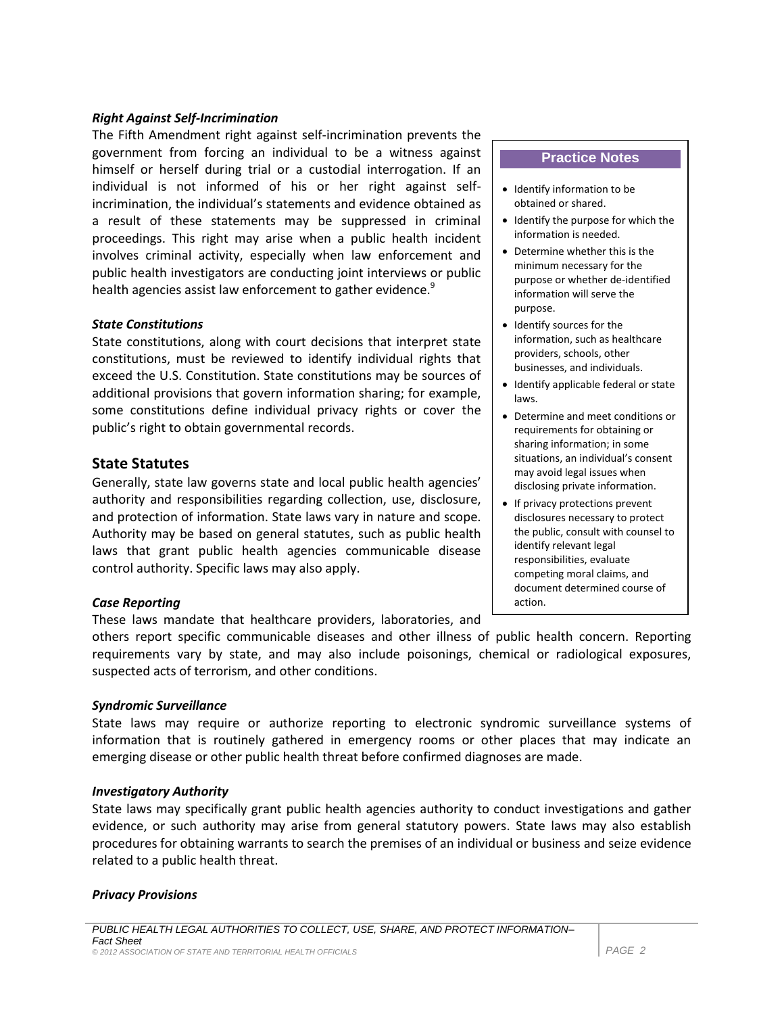### *Right Against Self-Incrimination*

The Fifth Amendment right against self-incrimination prevents the government from forcing an individual to be a witness against himself or herself during trial or a custodial interrogation. If an individual is not informed of his or her right against selfincrimination, the individual's statements and evidence obtained as a result of these statements may be suppressed in criminal proceedings. This right may arise when a public health incident involves criminal activity, especially when law enforcement and public health investigators are conducting joint interviews or public health agencies assist law enforcement to gather evidence.<sup>9</sup>

### *State Constitutions*

State constitutions, along with court decisions that interpret state constitutions, must be reviewed to identify individual rights that exceed the U.S. Constitution. State constitutions may be sources of additional provisions that govern information sharing; for example, some constitutions define individual privacy rights or cover the public's right to obtain governmental records.

### **State Statutes**

Generally, state law governs state and local public health agencies' authority and responsibilities regarding collection, use, disclosure, and protection of information. State laws vary in nature and scope. Authority may be based on general statutes, such as public health laws that grant public health agencies communicable disease control authority. Specific laws may also apply.

### *Case Reporting*

These laws mandate that healthcare providers, laboratories, and

others report specific communicable diseases and other illness of public health concern. Reporting requirements vary by state, and may also include poisonings, chemical or radiological exposures, suspected acts of terrorism, and other conditions.

### *Syndromic Surveillance*

State laws may require or authorize reporting to electronic syndromic surveillance systems of information that is routinely gathered in emergency rooms or other places that may indicate an emerging disease or other public health threat before confirmed diagnoses are made.

#### *Investigatory Authority*

State laws may specifically grant public health agencies authority to conduct investigations and gather evidence, or such authority may arise from general statutory powers. State laws may also establish procedures for obtaining warrants to search the premises of an individual or business and seize evidence related to a public health threat.

#### *Privacy Provisions*

#### **Practice Notes**

- Identify information to be obtained or shared.
- $\bullet$  Identify the purpose for which the information is needed.
- Determine whether this is the minimum necessary for the purpose or whether de-identified information will serve the purpose.
- Identify sources for the information, such as healthcare providers, schools, other businesses, and individuals.
- Identify applicable federal or state laws.
- Determine and meet conditions or requirements for obtaining or sharing information; in some situations, an individual's consent may avoid legal issues when disclosing private information.
- If privacy protections prevent disclosures necessary to protect the public, consult with counsel to identify relevant legal responsibilities, evaluate competing moral claims, and document determined course of action.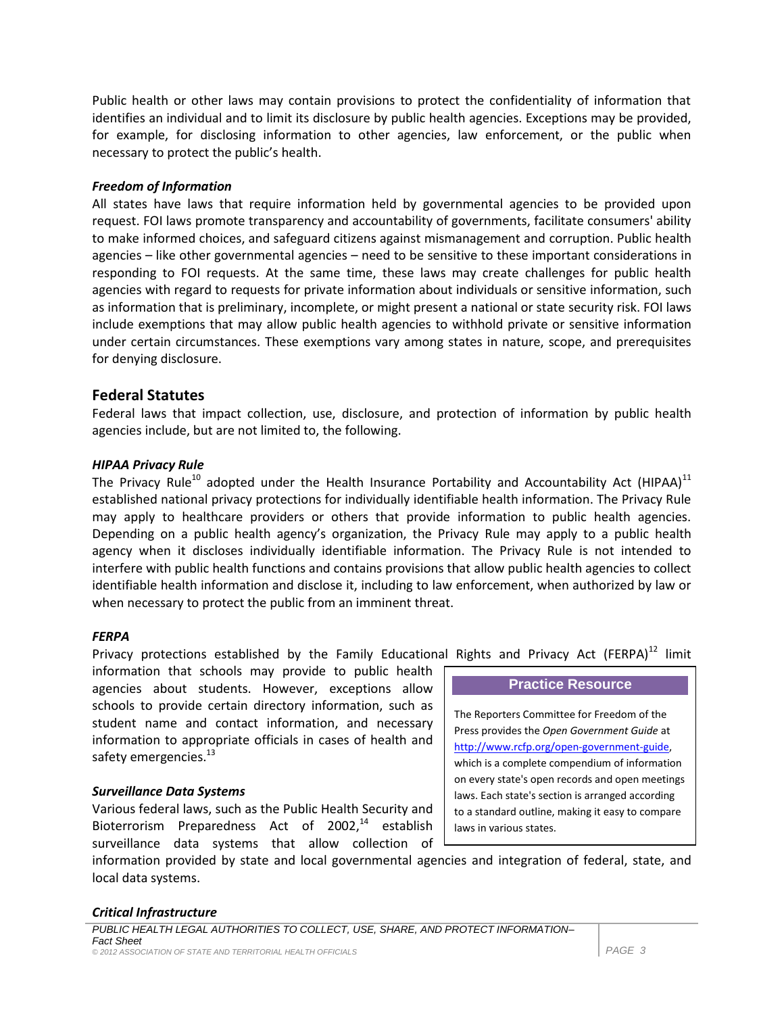Public health or other laws may contain provisions to protect the confidentiality of information that identifies an individual and to limit its disclosure by public health agencies. Exceptions may be provided, for example, for disclosing information to other agencies, law enforcement, or the public when necessary to protect the public's health.

### *Freedom of Information*

All states have laws that require information held by governmental agencies to be provided upon request. FOI laws promote transparency and accountability of governments, facilitate consumers' ability to make informed choices, and safeguard citizens against mismanagement and corruption. Public health agencies – like other governmental agencies – need to be sensitive to these important considerations in responding to FOI requests. At the same time, these laws may create challenges for public health agencies with regard to requests for private information about individuals or sensitive information, such as information that is preliminary, incomplete, or might present a national or state security risk. FOI laws include exemptions that may allow public health agencies to withhold private or sensitive information under certain circumstances. These exemptions vary among states in nature, scope, and prerequisites for denying disclosure.

# **Federal Statutes**

Federal laws that impact collection, use, disclosure, and protection of information by public health agencies include, but are not limited to, the following.

## *HIPAA Privacy Rule*

The Privacy Rule<sup>10</sup> adopted under the Health Insurance Portability and Accountability Act (HIPAA)<sup>11</sup> established national privacy protections for individually identifiable health information. The Privacy Rule may apply to healthcare providers or others that provide information to public health agencies. Depending on a public health agency's organization, the Privacy Rule may apply to a public health agency when it discloses individually identifiable information. The Privacy Rule is not intended to interfere with public health functions and contains provisions that allow public health agencies to collect identifiable health information and disclose it, including to law enforcement, when authorized by law or when necessary to protect the public from an imminent threat.

### *FERPA*

Privacy protections established by the Family Educational Rights and Privacy Act (FERPA)<sup>12</sup> limit

information that schools may provide to public health agencies about students. However, exceptions allow schools to provide certain directory information, such as student name and contact information, and necessary information to appropriate officials in cases of health and safety emergencies.<sup>13</sup>

### *Surveillance Data Systems*

Various federal laws, such as the Public Health Security and Bioterrorism Preparedness Act of 2002,<sup>14</sup> establish surveillance data systems that allow collection of

**Practice Resource** The Reporters Committee for Freedom of the Press provides the *Open Government Guide* at [http://www.rcfp.org/open-government-guide,](http://www.rcfp.org/open-government-guide) which is a complete compendium of information on every state's open records and open meetings laws. Each state's section is arranged according to a standard outline, making it easy to compare laws in various states.

information provided by state and local governmental agencies and integration of federal, state, and local data systems.

### *Critical Infrastructure*